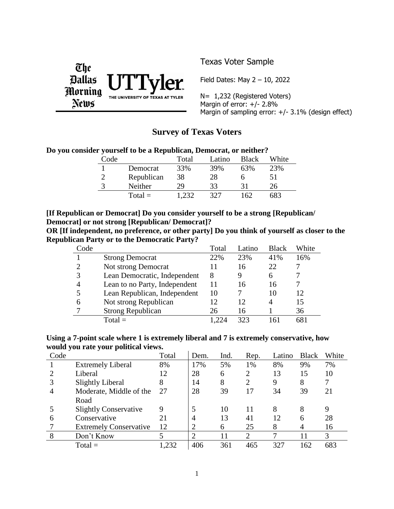

# Texas Voter Sample

Field Dates: May 2 – 10, 2022

N= 1,232 (Registered Voters) Margin of error:  $+/- 2.8%$ Margin of sampling error: +/- 3.1% (design effect)

# **Survey of Texas Voters**

|  | Do you consider yourself to be a Republican, Democrat, or neither? |  |  |  |  |  |
|--|--------------------------------------------------------------------|--|--|--|--|--|
|--|--------------------------------------------------------------------|--|--|--|--|--|

| Code |            | Total | Latino | Black | White |
|------|------------|-------|--------|-------|-------|
|      | Democrat   | 33%   | 39%    | 63%   | 23%   |
|      | Republican | 38    | 28     |       | 51    |
|      | Neither    | 29    | 33     |       | 26    |
|      | $Total =$  |       | 327    | 162   | 683   |

### **[If Republican or Democrat] Do you consider yourself to be a strong [Republican/ Democrat] or not strong [Republican/ Democrat]?**

**OR [If independent, no preference, or other party] Do you think of yourself as closer to the Republican Party or to the Democratic Party?**

| Code |                               | Total | Latino | <b>Black</b> | White |
|------|-------------------------------|-------|--------|--------------|-------|
|      | <b>Strong Democrat</b>        | 22%   | 23%    | 41%          | 16%   |
| റ    | Not strong Democrat           | 11    | 16     | 22           |       |
| 3    | Lean Democratic, Independent  | 8     | 9      | 6            |       |
|      | Lean to no Party, Independent | 11    | 16     | 16           |       |
|      | Lean Republican, Independent  | 10    |        | 10           | 12    |
| 6    | Not strong Republican         | 12    | 12     | 4            | 15    |
|      | <b>Strong Republican</b>      | 26    | 16     |              | 36    |
|      | $Total =$                     |       | 323    |              | 681   |

### **Using a 7-point scale where 1 is extremely liberal and 7 is extremely conservative, how would you rate your political views.**

| Code |                               | Total | Dem.           | Ind. | Rep.                        | Latino | <b>Black</b> | White |
|------|-------------------------------|-------|----------------|------|-----------------------------|--------|--------------|-------|
|      | <b>Extremely Liberal</b>      | 8%    | 17%            | 5%   | 1%                          | 8%     | 9%           | 7%    |
|      | Liberal                       | 12    | 28             | 6    | 2                           | 13     | 15           | 10    |
| 3    | <b>Slightly Liberal</b>       | 8     | 14             | 8    | $\overline{2}$              | 9      | 8            |       |
| 4    | Moderate, Middle of the       | 27    | 28             | 39   | 17                          | 34     | 39           | 21    |
|      | Road                          |       |                |      |                             |        |              |       |
|      | <b>Slightly Conservative</b>  | 9     |                | 10   | 11                          | 8      | 8            | 9     |
| 6    | Conservative                  | 21    | 4              | 13   | 41                          | 12     | 6            | 28    |
|      | <b>Extremely Conservative</b> | 12    | $\overline{2}$ | 6    | 25                          | 8      | 4            | 16    |
| 8    | Don't Know                    |       | $\overline{2}$ | 11   | $\mathcal{D}_{\mathcal{L}}$ |        |              | 3     |
|      | $Total =$                     | ,232  | 406            | 361  | 465                         | 327    | 162          | 683   |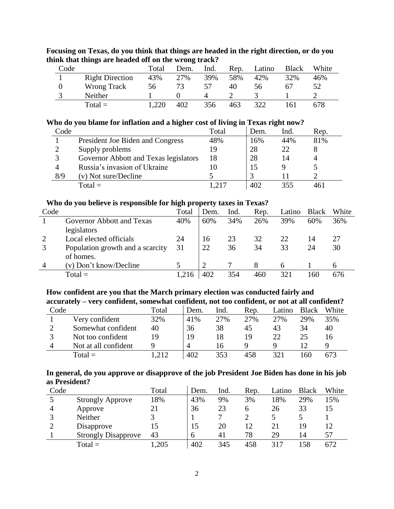| Code |                        | Total | Dem. | Ind. | Rep. | Latino | <b>Black</b> | White |
|------|------------------------|-------|------|------|------|--------|--------------|-------|
|      | <b>Right Direction</b> | 43%   | 27%  | 39%  | 58%  | 42%    | 32%          | 46%   |
|      | Wrong Track            | 56    | 73   | 57   | 40   | 56     | 67           |       |
|      | Neither                |       |      |      |      |        |              |       |
|      | $Total =$              |       | 402  | 356  | 463  | 322    | .61          | 678   |

# **Focusing on Texas, do you think that things are headed in the right direction, or do you think that things are headed off on the wrong track?**

### **Who do you blame for inflation and a higher cost of living in Texas right now?**

| Code        |                                       | Total | Dem. | Ind. | Rep. |
|-------------|---------------------------------------|-------|------|------|------|
|             | President Joe Biden and Congress      | 48%   | 16%  | 44%  | 81%  |
|             | Supply problems                       | 19    | 28   | 22   |      |
| $\mathbf 3$ | Governor Abbott and Texas legislators | 18    | 28   | 14   |      |
|             | Russia's invasion of Ukraine          | 10    | 15   |      |      |
| 8/9         | (v) Not sure/Decline                  |       |      |      |      |
|             | $Total =$                             | -217  | 402  | 355  | 461  |

#### **Who do you believe is responsible for high property taxes in Texas?**

| Code |                                  | Total | Dem. | Ind. | Rep. | Latino | <b>Black</b> | White |
|------|----------------------------------|-------|------|------|------|--------|--------------|-------|
|      | Governor Abbott and Texas        | 40%   | 60%  | 34%  | 26%  | 39%    | 60%          | 36%   |
|      | legislators                      |       |      |      |      |        |              |       |
|      | Local elected officials          | 24    | 16   | 23   | 32   | 22     | 14           | 27    |
| 2    | Population growth and a scarcity | 31    | 22   | 36   | 34   | 33     | 24           | 30    |
|      | of homes.                        |       |      |      |      |        |              |       |
|      | (v) Don't know/Decline           |       |      |      |      |        |              |       |
|      | $Total =$                        | 1,216 | 402  | 354  | 460  | 321    | l 60         | 676   |

### **How confident are you that the March primary election was conducted fairly and accurately – very confident, somewhat confident, not too confident, or not at all confident?**

| Code |                      | Total | Dem.      | Ind. | Rep. | Latino | <b>Black</b> | White |
|------|----------------------|-------|-----------|------|------|--------|--------------|-------|
|      | Very confident       | 32%   | 41\%      | 27%  | 27%  | 27%    | 29%          | 35%   |
|      | Somewhat confident   | 40    | 36        | 38   | 45   | 43     | 34           | 40    |
|      | Not too confident    | 19    | 19        |      | 19   | 22     | 25           | 16    |
|      | Not at all confident |       | $\Lambda$ |      |      |        |              |       |
|      | $Total =$            | .212  | 402       | 353  | 458  | 321    | .60          | 673   |

### **In general, do you approve or disapprove of the job President Joe Biden has done in his job as President?**

| Code |                            | Total | Dem. | Ind. | Rep. | Latino | <b>Black</b> | White |
|------|----------------------------|-------|------|------|------|--------|--------------|-------|
|      | <b>Strongly Approve</b>    | 18%   | 43%  | 9%   | 3%   | 18%    | 29%          | 15%   |
| 4    | Approve                    |       | 36   | 23   | 6    | 26     | 33           | 15    |
|      | Neither                    |       |      |      |      |        |              |       |
|      | Disapprove                 |       | 15   | 20   | 12   |        | 19           |       |
|      | <b>Strongly Disapprove</b> | 43    | 6    | 41   | 78   | 29     | 14           | 57    |
|      | $Total =$                  | ,205  | 402  | 345  | 458  | 317    | 158          | 672   |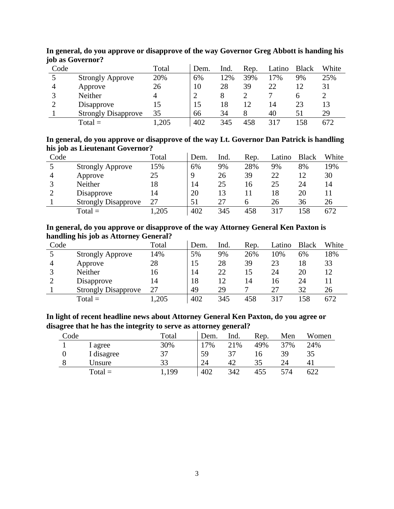| Code |                            | Total | Dem. | Ind. | Rep. | Latino | <b>Black</b> | White |
|------|----------------------------|-------|------|------|------|--------|--------------|-------|
|      | <b>Strongly Approve</b>    | 20%   | 6%   | 12%  | 39%  | 17%    | 9%           | 25%   |
| 4    | Approve                    | 26    | 10   | 28   | 39   | 22     |              | 31    |
|      | Neither                    |       |      |      |      |        | n            |       |
|      | Disapprove                 |       | 15   | 18   | 12   | 14     | 23           | 13    |
|      | <b>Strongly Disapprove</b> | 35    | 66   | 34   | 8    | 40     |              | 29    |
|      | $Total =$                  | ,205  | 402  | 345  | 458  | 317    | .58          | 672   |

**In general, do you approve or disapprove of the way Governor Greg Abbott is handing his job as Governor?**

**In general, do you approve or disapprove of the way Lt. Governor Dan Patrick is handling his job as Lieutenant Governor?**

| Code |                            | Total | Dem. | Ind. | Rep. | Latino | <b>Black</b> | White |
|------|----------------------------|-------|------|------|------|--------|--------------|-------|
|      | <b>Strongly Approve</b>    | 15%   | 6%   | 9%   | 28%  | 9%     | 8%           | 19%   |
|      | Approve                    | 25    | 9    | 26   | 39   | 22     | 12           | 30    |
|      | Neither                    | 18    | 14   | 25   | 16   | 25     | 24           | 14    |
|      | Disapprove                 | 14    | 20   | 13   |      | 18     | 20           |       |
|      | <b>Strongly Disapprove</b> | 27    | 51   | 27   |      | 26     | 36           | 26    |
|      | $Total =$                  | .205  | 402  | 345  | 458  | 317    | 158          | 672   |

**In general, do you approve or disapprove of the way Attorney General Ken Paxton is handling his job as Attorney General?**

| Code | $\sim$                     | Total | Dem. | Ind. | Rep. | Latino | <b>Black</b> | White |
|------|----------------------------|-------|------|------|------|--------|--------------|-------|
|      | <b>Strongly Approve</b>    | 14%   | 5%   | 9%   | 26%  | 10%    | 6%           | 18%   |
| 4    | Approve                    | 28    |      | 28   | 39   | 23     | 18           | 33    |
|      | Neither                    | 16    | 14   | 22   | 15   | 24     | 20           | 12    |
|      | Disapprove                 | 14    | 18   | 12   | 14   | 16     | 24           |       |
|      | <b>Strongly Disapprove</b> | 27    | 49   | 29   |      | 27     | 32           | 26    |
|      | $Total =$                  | ,205  | 402  | 345  | 458  | 317    | .58          | 672   |

**In light of recent headline news about Attorney General Ken Paxton, do you agree or disagree that he has the integrity to serve as attorney general?**

| Code |            | Total | Dem.  | Ind. | Rep. | Men | Women |
|------|------------|-------|-------|------|------|-----|-------|
|      | l agree    | 30%   | $7\%$ | 21%  | 49%  | 37% | 24%   |
|      | 1 disagree | 37    | 59    |      | i b  | 39  | 35    |
|      | Jnsure     | 33    | 24    | 42   | 35   | 24  |       |
|      | $Total =$  | 199   | 402   | 342  | 455  | 574 | 622   |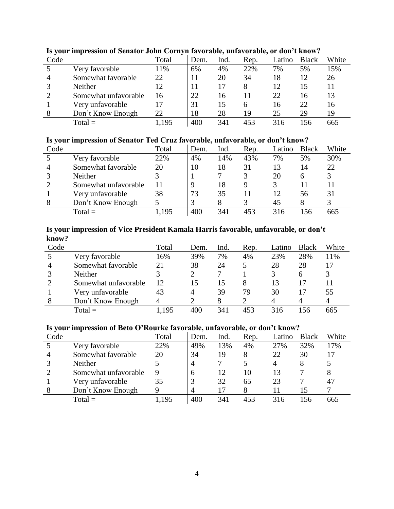| Code |                      | Total | Dem. | Ind. | Rep. | Latino | <b>Black</b> | White |
|------|----------------------|-------|------|------|------|--------|--------------|-------|
|      | Very favorable       | 11%   | 6%   | 4%   | 22%  | 7%     | 5%           | 15%   |
|      | Somewhat favorable   | 22    | 11   | 20   | 34   | 18     | 12           | 26    |
|      | Neither              | 12    |      | 17   |      | 12     | 15           |       |
|      | Somewhat unfavorable | 16    | 22   | 16   |      | 22     | 16           | 13    |
|      | Very unfavorable     | 17    | 31   | 15   |      | 16     | 22           | 16    |
| 8    | Don't Know Enough    | 22    | 18   | 28   | 19   | 25     | 29           | 19    |
|      | $Total =$            | 1,195 | 400  | 341  | 453  | 316    | 156          | 665   |

# **Is your impression of Senator John Cornyn favorable, unfavorable, or don't know?**

### **Is your impression of Senator Ted Cruz favorable, unfavorable, or don't know?**

| Code |                      | Total | Dem. | Ind. | Rep. | Latino | <b>Black</b> | White |
|------|----------------------|-------|------|------|------|--------|--------------|-------|
|      | Very favorable       | 22%   | 4%   | 14%  | 43%  | 7%     | 5%           | 30%   |
|      | Somewhat favorable   | 20    | 10   | 18   | 31   | 13     | 14           | 22    |
|      | Neither              |       |      |      |      | 20     |              |       |
|      | Somewhat unfavorable | 11    |      | 18   | 9    |        |              |       |
|      | Very unfavorable     | 38    | 73   | 35   |      |        | 56           | 31    |
|      | Don't Know Enough    |       |      |      |      | 45     |              |       |
|      | $Total =$            | .195  | 400  | 341  | 453  | 316    | .56          | 665   |

#### **Is your impression of Vice President Kamala Harris favorable, unfavorable, or don't know?** J.

| Code |                      | Total | Dem. | Ind. | Rep. | Latino | <b>Black</b> | White |
|------|----------------------|-------|------|------|------|--------|--------------|-------|
|      | Very favorable       | 16%   | 39%  | 7%   | 4%   | 23%    | 28%          | 11%   |
| 4    | Somewhat favorable   | 21    | 38   | 24   |      | 28     | 28           | 17    |
|      | Neither              |       |      |      |      |        | h            |       |
|      | Somewhat unfavorable | 12    |      |      |      | 13     |              |       |
|      | Very unfavorable     | 43    | 4    | 39   | 79   | 30     |              | 55    |
|      | Don't Know Enough    |       |      |      |      |        |              |       |
|      | $Total =$            | 1,195 | 400  | 341  | 453  | 316    | 56           | 665   |

### **Is your impression of Beto O'Rourke favorable, unfavorable, or don't know?**

| Code |                      | Total | Dem.           | Ind. | Rep. | Latino | <b>Black</b> | White |
|------|----------------------|-------|----------------|------|------|--------|--------------|-------|
|      | Very favorable       | 22%   | 49%            | 13%  | 4%   | 27%    | 32%          | 17%   |
|      | Somewhat favorable   | 20    | 34             | 19   |      | 22     | 30           | 17    |
|      | Neither              |       | $\overline{4}$ |      |      | 4      |              |       |
|      | Somewhat unfavorable | 9     | 6              | 12   | 10   | 13     |              | 8     |
|      | Very unfavorable     | 35    | 3              | 32   | 65   | 23     |              | 47    |
|      | Don't Know Enough    |       | $\overline{4}$ | 17   |      |        |              |       |
|      | $Total =$            | .195  | 400            | 341  | 453  | 316    | 156          | 665   |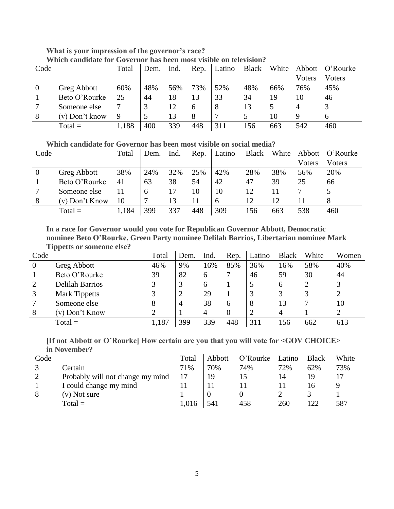# **What is your impression of the governor's race?**

| Code |                    | Total | Dem. | Ind. | Rep. |     |     |     |        | Latino Black White Abbott O'Rourke |
|------|--------------------|-------|------|------|------|-----|-----|-----|--------|------------------------------------|
|      |                    |       |      |      |      |     |     |     | Voters | Voters                             |
|      | <b>Greg Abbott</b> | 60%   | 48%  | 56%  | 73%  | 52% | 48% | 66% | 76%    | 45%                                |
|      | Beto O'Rourke      | 25    | 44   | 18   |      | 33  | 34  | 19  | 10     | 46                                 |
|      | Someone else       |       |      |      | h    | 8   | 13  |     | 4      |                                    |
| 8    | $(v)$ Don't know   | 9     |      |      | 8    |     |     | 10  | 9      |                                    |
|      | $Total =$          | 1,188 | 400  | 339  | 448  | 311 | 156 | 663 | 542    | 460                                |

**Which candidate for Governor has been most visible on social media?**

| Code |                    | Total | Dem. | Ind. | Rep. | Latino |     | Black White |        | Abbott O'Rourke |
|------|--------------------|-------|------|------|------|--------|-----|-------------|--------|-----------------|
|      |                    |       |      |      |      |        |     |             | Voters | Voters          |
|      | <b>Greg Abbott</b> | 38%   | 24%  | 32%  | 25%  | 42%    | 28% | 38%         | 56%    | 20%             |
|      | Beto O'Rourke      | 41    | 63   | 38   | 54   | 42     | 47  | 39          | 25     | 66              |
|      | Someone else       |       | 6    |      | 10   | 10     | 12  |             |        |                 |
| 8    | (v) Don't Know     | 10    |      | 13   |      | 6      | 12  | 12          |        |                 |
|      | $Total =$          | 1,184 | 399  | 337  | 448  | 309    | 56  | 663         | 538    | 460             |

**In a race for Governor would you vote for Republican Governor Abbott, Democratic nominee Beto O'Rourke, Green Party nominee Delilah Barrios, Libertarian nominee Mark Tippetts or someone else?**

| Code     |                        | Total | Dem. | Ind. | Rep. | Latino | <b>Black</b> | White | Women |
|----------|------------------------|-------|------|------|------|--------|--------------|-------|-------|
| $\theta$ | Greg Abbott            | 46%   | 9%   | 16%  | 85%  | 36%    | 16%          | 58%   | 40%   |
|          | Beto O'Rourke          | 39    | 82   | h    |      | 46     | 59           | 30    | 44    |
| C        | <b>Delilah Barrios</b> |       |      | h    |      |        | 6            |       |       |
|          | <b>Mark Tippetts</b>   |       |      | 29   |      |        | 3            |       |       |
|          | Someone else           | 8     | 4    | 38   | 6    | 8      | 13           |       | 10    |
| 8        | (v) Don't Know         |       |      |      | 0    |        | 4            |       |       |
|          | $Total =$              | 1,187 | 399  | 339  | 448  | 311    | l 56         | 662   | 613   |

# **[If not Abbott or O'Rourke] How certain are you that you will vote for <GOV CHOICE> in November?**

| Code |                                  | Total | Abbott   | O'Rourke | Latino | <b>Black</b> | White |
|------|----------------------------------|-------|----------|----------|--------|--------------|-------|
|      | Certain                          | 71%   | 70%      | 74%      | 72%    | 62%          | 73%   |
| ∠    | Probably will not change my mind |       | 19       |          | 14     |              |       |
|      | I could change my mind           |       |          |          |        | ı n          |       |
|      | (v) Not sure                     |       | $\Omega$ |          |        |              |       |
|      | $Total =$                        | 1,016 | 541      | 458      | 260    | 122          | 587   |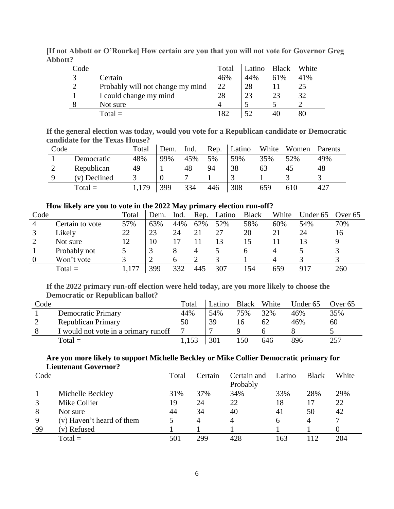| Code          |                                  | Total          | Latino | Black | White |
|---------------|----------------------------------|----------------|--------|-------|-------|
|               | Certain                          | 46%            | 44%    | 61%   | 41%   |
| $\mathcal{D}$ | Probably will not change my mind | 22             | 28     |       | 25    |
|               | I could change my mind           | 28             | 23     | 23    | 32    |
|               | Not sure                         | 4              |        |       |       |
|               | $Total =$                        | $\overline{R}$ | 50     |       |       |

**[If not Abbott or O'Rourke] How certain are you that you will not vote for Governor Greg Abbott?**

**If the general election was today, would you vote for a Republican candidate or Democratic candidate for the Texas House?**

| Code |              | Total | Dem. | Ind. | Rep. | Latino | White | Women | Parents |
|------|--------------|-------|------|------|------|--------|-------|-------|---------|
|      | Democratic   | 48%   | 99%  | 45%  | 5%   | 59%    | 35%   | 52%   | 49%     |
|      | Republican   | 49    |      | 48   | 94   | 38     | 63    | 45    | 48      |
|      | (v) Declined |       |      |      |      |        |       |       |         |
|      | $Total =$    | 1,179 | 399  | 334  | 446  | 308    | 659   | 610   | 427     |

### **How likely are you to vote in the 2022 May primary election run-off?**

| Code     |                 | Total | Dem. | Ind. | Rep. | Latino | <b>Black</b> | White | Under 65 | Over $65$ |
|----------|-----------------|-------|------|------|------|--------|--------------|-------|----------|-----------|
|          | Certain to vote | 57%   | 63%  | 44%  | 62%  | 52%    | 58%          | 60%   | 54%      | 70%       |
|          | Likely          | 22    | 23   | 24   | 21   | 27     | 20           |       | 24       | .6        |
|          | Not sure        | 12    | 10   |      |      | 13     | 15           |       |          |           |
|          | Probably not    |       |      | 8    | 4    |        | <sub>0</sub> | 4     |          |           |
| $\theta$ | Won't vote      |       |      | h    |      |        |              |       |          |           |
|          | $Total =$       |       | 399  | 332  | 445  | 307    | 154          | 659   | 917      | 260       |

# **If the 2022 primary run-off election were held today, are you more likely to choose the Democratic or Republican ballot?**

| Code |                                      | Total | Latino | Black | White | Under 65 | Over 65 |
|------|--------------------------------------|-------|--------|-------|-------|----------|---------|
|      | <b>Democratic Primary</b>            | 44%   | 54%    | 75%   | 32%   | 46%      | 35%     |
|      | <b>Republican Primary</b>            | 50    | 39     | I h   | 62    | 46%      | 60      |
|      | I would not vote in a primary runoff |       |        |       |       |          |         |
|      | $Total =$                            | 1,153 | 301    | 150   | 646   | 896      | 257     |

# **Are you more likely to support Michelle Beckley or Mike Collier Democratic primary for Lieutenant Governor?**

| Code |                           | Total | Certain | Certain and | Latino | <b>Black</b> | White |
|------|---------------------------|-------|---------|-------------|--------|--------------|-------|
|      |                           |       |         | Probably    |        |              |       |
|      | Michelle Beckley          | 31%   | 37%     | 34%         | 33%    | 28%          | 29%   |
|      | Mike Collier              | 19    | 24      | 22          | 18     |              | 22    |
| 8    | Not sure                  | 44    | 34      | 40          | 41     | 50           | 42    |
| 9    | (v) Haven't heard of them |       | 4       |             | h      | 4            |       |
| 99   | (v) Refused               |       |         |             |        |              |       |
|      | $Total =$                 | 501   | 299     | 428         | 163    | 112          | 204   |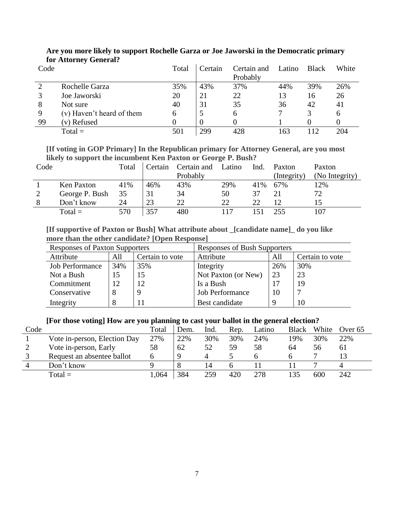| Code |                           | Total | Certain          | Certain and<br>Probably | Latino | <b>Black</b> | White |
|------|---------------------------|-------|------------------|-------------------------|--------|--------------|-------|
|      | Rochelle Garza            | 35%   | 43%              | 37%                     | 44%    | 39%          | 26%   |
|      | Joe Jaworski              | 20    | 21               | 22                      | 13     | 16           | 26    |
| 8    | Not sure                  | 40    | 31               | 35                      | 36     | 42           | 41    |
| 9    | (v) Haven't heard of them | 6     | 5                | 6                       |        |              | 6     |
| 99   | (v) Refused               | 0     | $\left( \right)$ | 0                       |        |              |       |
|      | $Total =$                 | 501   | 299              | 428                     | 163    | 112          | 204   |

# **Are you more likely to support Rochelle Garza or Joe Jaworski in the Democratic primary for Attorney General?**

**[If voting in GOP Primary] In the Republican primary for Attorney General, are you most likely to support the incumbent Ken Paxton or George P. Bush?**

| Code | . .            | Total | Certain | Certain and | Latino | Ind. | Paxton      | Paxton         |
|------|----------------|-------|---------|-------------|--------|------|-------------|----------------|
|      |                |       |         | Probably    |        |      | (Integrity) | (No Integrity) |
|      | Ken Paxton     | 41%   | 46%     | 43%         | 29%    | 41%  | 67%         | 12%            |
|      | George P. Bush | 35    |         | 34          | 50     | 37   |             | 72             |
|      | Don't know     | 24    | 23      | 22          | 22     | 22   | 12          | 15             |
|      | $Total =$      | 570   | 357     | 480         |        |      | 255         | 107            |

**[If supportive of Paxton or Bush] What attribute about \_[candidate name]\_ do you like more than the other candidate? [Open Response]**

| <b>Responses of Paxton Supporters</b> |     |           | Responses of Bush Supporters |                 |     |  |  |
|---------------------------------------|-----|-----------|------------------------------|-----------------|-----|--|--|
| Attribute<br>All<br>Certain to vote   |     | Attribute | All                          | Certain to vote |     |  |  |
| <b>Job Performance</b>                | 34% | 35%       | Integrity                    | 26%             | 30% |  |  |
| Not a Bush                            | 15  | 15        | Not Paxton (or New)          | 23              | 23  |  |  |
| Commitment                            | 12  | 12        | Is a Bush                    | 17              | 19  |  |  |
| Conservative                          |     |           | <b>Job Performance</b>       | 10              |     |  |  |
| Integrity                             |     |           | Best candidate               |                 | 10  |  |  |

## **[For those voting] How are you planning to cast your ballot in the general election?**

| Code |                              | Total | Dem. | Ind. | Rep. | Latino | <b>Black</b> | White | Over $65$ |
|------|------------------------------|-------|------|------|------|--------|--------------|-------|-----------|
|      | Vote in-person, Election Day | 27%   | 22%  | 30%  | 30%  | 24%    | 19%          | 30%   | 22%       |
|      | Vote in-person, Early        | 58    | 62   | 52   | 59   | 58     | 64           | эh    | 61        |
|      | Request an absentee ballot   |       |      |      |      |        |              |       |           |
|      | Don't know                   |       |      | 14   |      |        |              |       |           |
|      | $Total =$                    | 1,064 | 384  | 259  | 420  | 278    |              | 600   | 242       |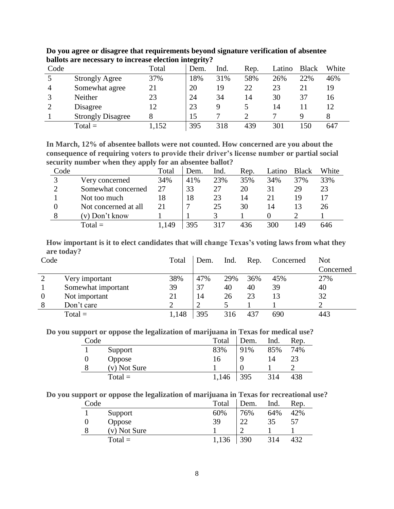| Code |                          | Total | Dem. | Ind. | Rep. | Latino | <b>Black</b> | White |
|------|--------------------------|-------|------|------|------|--------|--------------|-------|
|      | <b>Strongly Agree</b>    | 37%   | 18%  | 31%  | 58%  | 26%    | 22%          | 46%   |
| 4    | Somewhat agree           | 21    | 20   | 19   | 22   | 23     | 21           | 19    |
| 2    | Neither                  | 23    | 24   | 34   | 14   | 30     | 37           | 16    |
|      | Disagree                 | 12    | 23   | 9    |      | 14     |              | 12    |
|      | <b>Strongly Disagree</b> |       | 15   |      |      |        |              |       |
|      | $Total =$                | 1,152 | 395  | 318  | 439  | 301    | 50           | 647   |

**Do you agree or disagree that requirements beyond signature verification of absentee ballots are necessary to increase election integrity?**

**In March, 12% of absentee ballots were not counted. How concerned are you about the consequence of requiring voters to provide their driver's license number or partial social security number when they apply for an absentee ballot?**

| Code |                      | Total | Dem. | Ind. | Rep. | Latino | <b>Black</b> | White |
|------|----------------------|-------|------|------|------|--------|--------------|-------|
|      | Very concerned       | 34%   | 41%  | 23%  | 35%  | 34%    | 37%          | 33%   |
|      | Somewhat concerned   | 27    | 33   | 27   | 20   | 31     | 29           | 23    |
|      | Not too much         | 18    | 18   | 23   | 14   | 21     | 19           |       |
|      | Not concerned at all | 21    |      | 25   | 30   | 14     |              | 26    |
|      | (v) Don't know       |       |      |      |      |        |              |       |
|      | $Total =$            | 1,149 | 395  |      | 436  | 300    | -49          | 646   |

**How important is it to elect candidates that will change Texas's voting laws from what they are today?**

| Code |                    | Total | Dem. | Ind. | Rep. | Concerned | <b>Not</b> |
|------|--------------------|-------|------|------|------|-----------|------------|
|      |                    |       |      |      |      |           | Concerned  |
|      | Very important     | 38%   | 47%  | 29%  | 36%  | 45%       | 27%        |
|      | Somewhat important | 39    | 37   | 40   | 40   | 39        | 40         |
| 0    | Not important      | 21    | 14   | 26   | 23   | 13        | 32         |
| 8    | Don't care         |       |      |      |      |           |            |
|      | $Total =$          | ,148  | 395  | 316  | 437  | 690       | 443        |

**Do you support or oppose the legalization of marijuana in Texas for medical use?**

| Code |              | Total | Dem. | Ind. | Rep. |
|------|--------------|-------|------|------|------|
|      | Support      | 83%   | 91%  | 85%  | 74%  |
|      | Oppose       | 16    | Q    | 14   |      |
| 8    | (v) Not Sure |       |      |      |      |
|      | $Total =$    | 1,146 | 395  | 314  | 438  |

**Do you support or oppose the legalization of marijuana in Texas for recreational use?**

| Code |              | Total | Dem. | Ind. | Rep. |
|------|--------------|-------|------|------|------|
|      | Support      | 60%   | 76%  | 64%  | 42%  |
| 0    | Oppose       | 39    | 22   | 35   | 57   |
| 8    | (v) Not Sure |       |      |      |      |
|      | $Total =$    | 1,136 | 390  | 314  | 432  |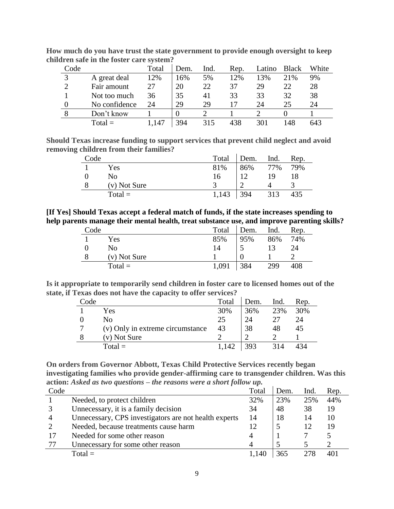| Code          |               | Total | Dem. | Ind. | Rep. | Latino | <b>Black</b> | White |
|---------------|---------------|-------|------|------|------|--------|--------------|-------|
| $\mathcal{R}$ | A great deal  | 12%   | 16%  | 5%   | 12%  | 13%    | 21%          | 9%    |
| ∍             | Fair amount   | 27    | 20   | 22   | 37   | 29     | 22           | 28    |
|               | Not too much  | 36    | 35   | 41   | 33   | 33     | 32           | 38    |
|               | No confidence | 24    | 29   | 29   |      | 24     | 25           | 24    |
|               | Don't know    |       |      |      |      |        |              |       |
|               | $Total =$     | 147   | 394  | 315  | 438  |        | 148          | 643   |

**How much do you have trust the state government to provide enough oversight to keep children safe in the foster care system?**

**Should Texas increase funding to support services that prevent child neglect and avoid removing children from their families?**

| Code |              | Total | Dem. | Ind. | Rep. |
|------|--------------|-------|------|------|------|
|      | Yes          | 81%   | 86%  | 77%  | 79%  |
|      | No           | 16    |      | 19   | 18   |
|      | (v) Not Sure |       |      |      |      |
|      | $Total =$    | 1,143 | 394  | 313  | 435  |

**[If Yes] Should Texas accept a federal match of funds, if the state increases spending to help parents manage their mental health, treat substance use, and improve parenting skills?**

| Code |              | Total | Dem. | Ind. | Rep. |
|------|--------------|-------|------|------|------|
|      | Yes          | 85%   | 95%  | 86%  | 74%  |
|      | No           | 14    |      |      | 24   |
|      | (v) Not Sure |       |      |      |      |
|      | $Total =$    | 1,091 | 384  | 299  | 408  |

**Is it appropriate to temporarily send children in foster care to licensed homes out of the state, if Texas does not have the capacity to offer services?**

| Code |                                  | Total | Dem. | Ind. | Rep. |
|------|----------------------------------|-------|------|------|------|
|      | Yes                              | 30%   | 36%  | 23%  | 30%  |
|      | Nο                               | 25    | 24   | 27   | 24   |
| 7    | (v) Only in extreme circumstance | 43    | 38   | 48   | 45   |
| 8    | (v) Not Sure                     |       |      |      |      |
|      | $Total =$                        | 1.142 | 393  | 314  | 434  |

**On orders from Governor Abbott, Texas Child Protective Services recently began investigating families who provide gender-affirming care to transgender children. Was this action:** *Asked as two questions – the reasons were a short follow up.*

| Code           |                                                       | Total | Dem. | Ind. | Rep. |
|----------------|-------------------------------------------------------|-------|------|------|------|
|                | Needed, to protect children                           | 32%   | 23%  | 25%  | 44%  |
|                | Unnecessary, it is a family decision                  | 34    | 48   | 38   | 19   |
| $\overline{4}$ | Unnecessary, CPS investigators are not health experts | 14    | 18   | 14   | 10   |
| $\mathcal{D}$  | Needed, because treatments cause harm                 |       |      | 12   | 19   |
| 17             | Needed for some other reason                          | 4     |      |      |      |
| 77             | Unnecessary for some other reason                     |       |      |      |      |
|                | $Total =$                                             | 1.140 | 365  |      | 401  |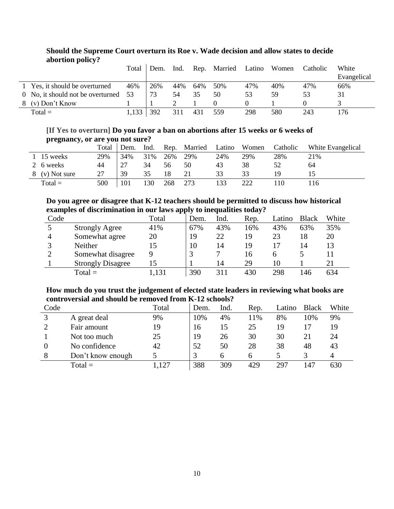|   |                                      | Total | Dem. | Ind. |     | Rep. Married | Latino | Women | Catholic | White       |
|---|--------------------------------------|-------|------|------|-----|--------------|--------|-------|----------|-------------|
|   |                                      |       |      |      |     |              |        |       |          | Evangelical |
|   | 1 Yes, it should be overturned       | 46%   | 26%  | 44%  | 64% | 50%          | 47%    | 40%   | 47%      | 66%         |
|   | 0 No, it should not be overturned 53 |       | 73   |      | 35  | 50           | 53     | 59    | 53       | 31          |
| 8 | $(v)$ Don't Know                     |       |      |      |     |              |        |       |          |             |
|   | $Total =$                            | 1,133 | 392  | 311  | 431 | 559          | 298    | 580   | 243      | 176         |

### **Should the Supreme Court overturn its Roe v. Wade decision and allow states to decide abortion policy?**

# **[If Yes to overturn] Do you favor a ban on abortions after 15 weeks or 6 weeks of pregnancy, or are you not sure?**

| .              |       |      |      |     |              |        |       |          |                   |
|----------------|-------|------|------|-----|--------------|--------|-------|----------|-------------------|
|                | Total | Dem. | Ind. |     | Rep. Married | Latino | Women | Catholic | White Evangelical |
| 1 15 weeks     | 29%   | 34%  | 31%  | 26% | 29%          | 24%    | 29%   | 28%      | 21%               |
| 2 6 weeks      | 44    | 27   | 34   | 56  | 50           | 43     | 38    |          | 64                |
| 8 (v) Not sure | 27    | 39   | 35   | 18  |              | 33     | 33    |          |                   |
| $Total =$      | 500   | 101  | 130  | 268 | 273          |        | 222   | 10       | .16               |

### **Do you agree or disagree that K-12 teachers should be permitted to discuss how historical examples of discrimination in our laws apply to inequalities today?**

| Code |                          | Total | Dem. | Ind. | Rep. | Latino | <b>Black</b> | White |
|------|--------------------------|-------|------|------|------|--------|--------------|-------|
|      | <b>Strongly Agree</b>    | 41%   | 67%  | 43%  | 16%  | 43%    | 63%          | 35%   |
| 4    | Somewhat agree           | 20    | 19   | 22   | 19   | 23     | 18           | 20    |
|      | <b>Neither</b>           | 15    | 10   | 14   | 19   |        | 14           | 13    |
|      | Somewhat disagree        |       |      | 7    | 16   |        |              |       |
|      | <b>Strongly Disagree</b> | 15    |      | 14   | 29   | 10     |              | 21    |
|      | $Total =$                | 1,131 | 390  |      | 430  | 298    | 146          | 634   |

### **How much do you trust the judgement of elected state leaders in reviewing what books are controversial and should be removed from K-12 schools?**

| Code |                   | Total | Dem. | Ind. | Rep. | Latino | <b>Black</b> | White |
|------|-------------------|-------|------|------|------|--------|--------------|-------|
|      | A great deal      | 9%    | 10%  | 4%   | 11%  | 8%     | 10%          | 9%    |
|      | Fair amount       | 19    | 16   | 15   | 25   | 19     |              | 19    |
|      | Not too much      | 25    | 19   | 26   | 30   | 30     | 21           | 24    |
|      | No confidence     | 42    | 52   | 50   | 28   | 38     | 48           | 43    |
| 8    | Don't know enough |       |      | 6    | h    |        |              | 4     |
|      | $Total =$         |       | 388  | 309  | 429  | 297    | 147          | 630   |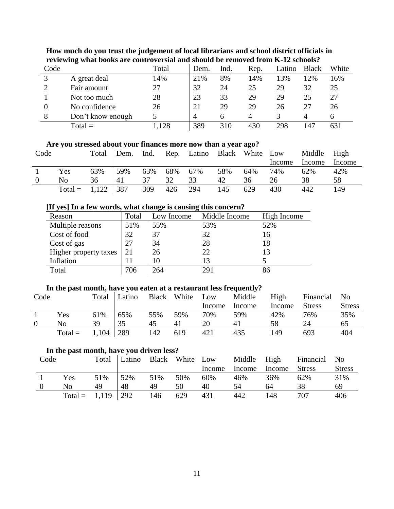| Code |                   | Total | Dem. | Ind. | Rep. | Latino | <b>Black</b> | White |
|------|-------------------|-------|------|------|------|--------|--------------|-------|
| 2    | A great deal      | 14%   | 21%  | 8%   | 14%  | 13%    | 12%          | 16%   |
|      | Fair amount       | 27    | 32   | 24   | 25   | 29     | 32           | 25    |
|      | Not too much      | 28    | 23   | 33   | 29   | 29     | 25           | 27    |
|      | No confidence     | 26    | 21   | 29   | 29   | 26     | 27           | 26    |
| 8    | Don't know enough |       | 4    |      | 4    |        |              |       |
|      | $Total =$         | 128   | 389  | 310  | 430  | 298    | 147          | 631   |

# **How much do you trust the judgement of local librarians and school district officials in reviewing what books are controversial and should be removed from K-12 schools?**

# **Are you stressed about your finances more now than a year ago?**

| Code |                 | Total |     |     |             |     |     |     | Dem. Ind. Rep. Latino Black White Low | Middle High |        |
|------|-----------------|-------|-----|-----|-------------|-----|-----|-----|---------------------------------------|-------------|--------|
|      |                 |       |     |     |             |     |     |     | Income                                | Income      | Income |
|      | Yes             | 63%   | 59% |     | 63% 68% 67% |     | 58% | 64% | 74%                                   | 62%         | 42%    |
|      | No              | 36    | 41  | 37  | 32          | 33  | 42  | 36  | 26                                    | 38          | 58.    |
|      | Total = $1,122$ |       | 387 | 309 | 426         | 294 | 145 | 629 | 430                                   | 442         | 149    |

### **[If yes] In a few words, what change is causing this concern?**

| TH YEST III A TEW WOLUS, WHAT CHAIPLE IS CAUSING THIS CONCELL. |       |            |               |             |  |  |  |  |  |  |  |
|----------------------------------------------------------------|-------|------------|---------------|-------------|--|--|--|--|--|--|--|
| Reason                                                         | Total | Low Income | Middle Income | High Income |  |  |  |  |  |  |  |
| Multiple reasons                                               | 51%   | 55%        | 53%           | 52%         |  |  |  |  |  |  |  |
| Cost of food                                                   | 32    | 37         | 32            | 16          |  |  |  |  |  |  |  |
| Cost of gas                                                    | 27    | 34         | 28            | 18          |  |  |  |  |  |  |  |
| Higher property taxes                                          | 21    | 26         | 22            | 13          |  |  |  |  |  |  |  |
| Inflation                                                      |       | 10         | 13            |             |  |  |  |  |  |  |  |
| Total                                                          | 706   | 264        | 291           | 86          |  |  |  |  |  |  |  |

## **In the past month, have you eaten at a restaurant less frequently?**

| Code |           |       | Total Latino |     | Black White Low |        | Middle | High   | Financial No  |               |
|------|-----------|-------|--------------|-----|-----------------|--------|--------|--------|---------------|---------------|
|      |           |       |              |     |                 | Income | Income | Income | <b>Stress</b> | <b>Stress</b> |
|      | Yes       | 61%   | 65%          | 55% | 59%             | 70%    | 59%    | 42%    | 76%           | 35%           |
|      | No        | 39    | 35           | 45  | 41              | 20     | 41     | 58     | 24            | 65            |
|      | $Total =$ | 1,104 | 1289         | 142 | 619             | 421    | 435    | 149    | 693           | 404           |

#### **In the past month, have you driven less?**

| Code |                       |     | Total Latino Black White Low |     |     |        | Middle High |        | Financial No  |               |
|------|-----------------------|-----|------------------------------|-----|-----|--------|-------------|--------|---------------|---------------|
|      |                       |     |                              |     |     | Income | Income      | Income | <b>Stress</b> | <b>Stress</b> |
|      | Yes                   | 51% | 52%                          | 51% | 50% | 60%    | 46%         | 36%    | 62%           | 31%           |
|      | Nο                    | 49  | 48                           | 49  | 50  | 40     | 54          | 64     | 38            | 69            |
|      | Total = $1,119$   292 |     |                              | 146 | 629 | 431    | 442         | 148    | 707           | 406           |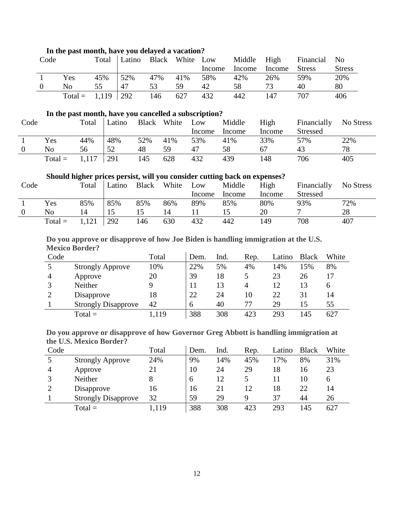| Code |                       |     |                  |         |             |        |     |                      | Total Latino Black White Low Middle High Financial No |               |
|------|-----------------------|-----|------------------|---------|-------------|--------|-----|----------------------|-------------------------------------------------------|---------------|
|      |                       |     |                  |         |             | Income |     | Income Income Stress |                                                       | <b>Stress</b> |
|      | Yes                   | 45% | $\frac{52\%}{ }$ |         | 47% 41% 58% |        | 42% | 26%                  | 59%                                                   | 20%           |
|      | No.                   | 55  | 47               | 53      | 59.         | 42     | 58  | 73                   | 40                                                    | 80            |
|      | Total = $1,119$   292 |     |                  | 146 627 |             | 432    | 442 | 147                  | 707                                                   | 406           |

# **In the past month, have you delayed a vacation?**

### **In the past month, have you cancelled a subscription?**

| Code |           | Total | Latino |     | Black White | Low    | Middle | High   | Financially     | No Stress |
|------|-----------|-------|--------|-----|-------------|--------|--------|--------|-----------------|-----------|
|      |           |       |        |     |             | Income | Income | Income | <b>Stressed</b> |           |
|      | Yes       | 44%   | 48%    | 52% | 41%         | 53%    | 41%    | 33%    | 57%             | 22%       |
|      | No        | 56    | 52     | 48  | 59          | 47     | 58     | 67     | 43              | 78        |
|      | $Total =$ | 1,117 | 291    | 145 | 628         | 432    | 439    | 148    | 706             | 405       |

### **Should higher prices persist, will you consider cutting back on expenses?**

| Code |           | Total | Latino | <b>Black</b> | White | Low    | Middle | High   | Financially     | No Stress |
|------|-----------|-------|--------|--------------|-------|--------|--------|--------|-----------------|-----------|
|      |           |       |        |              |       | Income | Income | Income | <b>Stressed</b> |           |
|      | Yes       | 85%   | 85%    | 85%          | 86%   | 89%    | 85%    | 80%    | 93%             | 72%       |
|      | No        |       |        | 15           | 14    |        |        | 20     |                 | 28        |
|      | $Total =$ | 1,121 | 292    | 146          | 630   | 432    | 442    | 149    | 708             | 407       |

### **Do you approve or disapprove of how Joe Biden is handling immigration at the U.S. Mexico Border?**

| Code           |                            | Total | Dem. | Ind. | Rep. | Latino | <b>Black</b> | White        |
|----------------|----------------------------|-------|------|------|------|--------|--------------|--------------|
|                | <b>Strongly Approve</b>    | 10%   | 22%  | 5%   | 4%   | 14%    | 15%          | 8%           |
| $\overline{4}$ | Approve                    | 20    | 39   | 18   |      | 23     | 26           | 17           |
|                | Neither                    |       | 11   | 13   | 4    | 12     | 13           | <sub>0</sub> |
|                | Disapprove                 | 18    | 22   | 24   | 10   | 22     | 31           | 14           |
|                | <b>Strongly Disapprove</b> | 42    | 6    | 40   | 77   | 29     | 15           | 55           |
|                | $Total =$                  | .119  | 388  | 308  | 423  | 293    | 145          | 627          |

### **Do you approve or disapprove of how Governor Greg Abbott is handling immigration at the U.S. Mexico Border?**

| Code |                            | Total | Dem. | Ind. | Rep. | Latino | <b>Black</b> | White        |
|------|----------------------------|-------|------|------|------|--------|--------------|--------------|
|      | <b>Strongly Approve</b>    | 24%   | 9%   | 14%  | 45%  | 17%    | 8%           | 31%          |
| 4    | Approve                    | 21    | 10   | 24   | 29   | 18     | 16           | 23           |
|      | Neither                    |       | 6    | 12   |      |        | 10           | <sub>0</sub> |
|      | Disapprove                 | 16    | 16   | 21   | 12   | 18     | 22           | 14           |
|      | <b>Strongly Disapprove</b> | 32    | 59   | 29   | Q    | 37     | 44           | 26           |
|      | $Total =$                  | 1,119 | 388  | 308  | 423  | 293    | 145          | 627          |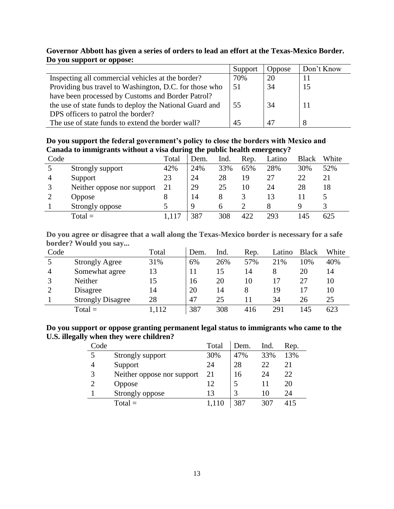### **Governor Abbott has given a series of orders to lead an effort at the Texas-Mexico Border. Do you support or oppose:**

|                                                         | Support | <b>Oppose</b> | Don't Know |
|---------------------------------------------------------|---------|---------------|------------|
| Inspecting all commercial vehicles at the border?       | 70%     | 20            |            |
| Providing bus travel to Washington, D.C. for those who  | 51      | 34            | 15         |
| have been processed by Customs and Border Patrol?       |         |               |            |
| the use of state funds to deploy the National Guard and | 55      | 34            |            |
| DPS officers to patrol the border?                      |         |               |            |
| The use of state funds to extend the border wall?       | 45      | 47            |            |

**Do you support the federal government's policy to close the borders with Mexico and Canada to immigrants without a visa during the public health emergency?**

|      | ້                          |       | ີ           |      |      |        |              |       |
|------|----------------------------|-------|-------------|------|------|--------|--------------|-------|
| Code |                            | Total | Dem.        | Ind. | Rep. | Latino | <b>Black</b> | White |
|      | Strongly support           | 42%   | 24%         | 33%  | 65%  | 28%    | 30%          | 52%   |
| 4    | Support                    | 23    | 24          | 28   | 19   | 27     | 22           | 21    |
|      | Neither oppose nor support | 21    | 29          | 25   | 10   | 24     | 28           | 18    |
|      | Oppose                     |       | 14          |      |      |        |              |       |
|      | Strongly oppose            |       | $\mathbf Q$ |      |      |        | Q            |       |
|      | $Total =$                  |       | 387         | 308  | 422  | 293    | 145          | 625   |

**Do you agree or disagree that a wall along the Texas-Mexico border is necessary for a safe border? Would you say...**

| Code |                          | Total | Dem. | Ind. | Rep. | Latino | <b>Black</b> | White |
|------|--------------------------|-------|------|------|------|--------|--------------|-------|
|      | <b>Strongly Agree</b>    | 31%   | 6%   | 26%  | 57%  | 21%    | 10%          | 40%   |
| 4    | Somewhat agree           | 13    | 11   |      | 14   | 8      | 20           | 14    |
|      | Neither                  | 15    | 16   | 20   | 10   |        | 27           | 10    |
|      | Disagree                 | 14    | 20   | 14   | 8    | 19     |              | 10    |
|      | <b>Strongly Disagree</b> | 28    | 47   | 25   |      | 34     | 26           | 25    |
|      | $Total =$                | ,112  | 387  | 308  | 416  | 291    | 145          | 623   |

#### **Do you support or oppose granting permanent legal status to immigrants who came to the U.S. illegally when they were children?**  $\mathbf{r}$

| Code                        |                            | Total | Dem. | Ind. | Rep. |
|-----------------------------|----------------------------|-------|------|------|------|
| 5                           | Strongly support           | 30%   | 47%  | 33%  | 13%  |
| 4                           | Support                    | 24    | 28   | 22   | 21   |
| 3                           | Neither oppose nor support | 21    | 16   | 24   | 22   |
| $\mathcal{D}_{\mathcal{A}}$ | Oppose                     | 12    |      |      | 20   |
|                             | Strongly oppose            | 13    |      | 10   | 24   |
|                             | $Total =$                  |       |      | 307  | 415  |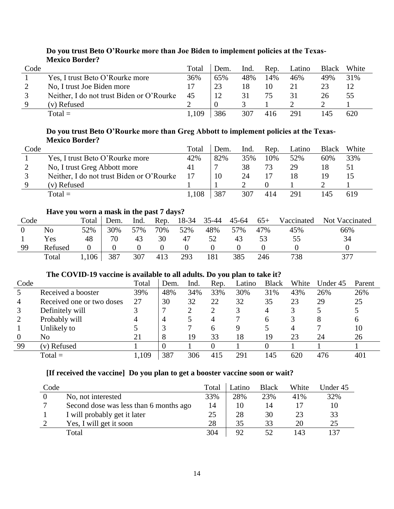| Code |                                           | Total | Dem. | Ind. | Rep. | _atino | Black | White |
|------|-------------------------------------------|-------|------|------|------|--------|-------|-------|
|      | Yes, I trust Beto O'Rourke more           | 36%   | 65%  | 48%  | 14%  | 46%    | 49%   | 31%   |
|      | No, I trust Joe Biden more                | 17    | 23   | 18   |      |        |       |       |
|      | Neither, I do not trust Biden or O'Rourke | 45    | 12   |      | 75   |        | 26    | 55    |
|      | (v) Refused                               |       |      |      |      |        |       |       |
|      | $Total =$                                 | 109.، | 386  | 307  | 416  | 291    |       | 620   |

# **Do you trust Beto O'Rourke more than Joe Biden to implement policies at the Texas-Mexico Border?**

### **Do you trust Beto O'Rourke more than Greg Abbott to implement policies at the Texas-Mexico Border?**

| Code |                                           | Total | Dem. | Ind. | Rep. | Latino | Black | White |
|------|-------------------------------------------|-------|------|------|------|--------|-------|-------|
|      | Yes, I trust Beto O'Rourke more           | 42%   | 82%  | 35%  | 10%  | 52%    | 60%   | 33%   |
| ∠    | No, I trust Greg Abbott more              | 41    |      | 38   | 73   | 29     | 18    | 51    |
|      | Neither, I do not trust Biden or O'Rourke |       | 10   | 24   |      | 18     | 19    |       |
|      | (v) Refused                               |       |      |      |      |        |       |       |
|      | $Total =$                                 | l,108 | 387  | 307  | 414  | 291    |       | 619   |

# **Have you worn a mask in the past 7 days?**

| Code |         | Total | Dem. | Ind. | Rep. | 18-34 | $35 - 44$ | $45 - 64$ | $65+$ | Vaccinated | Not Vaccinated |
|------|---------|-------|------|------|------|-------|-----------|-----------|-------|------------|----------------|
|      | No      | 52%   | 30%  | 57%  | 70%  | 52%   | 48%       | 57%       | 47%   | 45%        | 66%            |
|      | Yes     | 48    | 70   | 43   | 30   | 47    | 52        | 43        |       | 55         | 34             |
| 99   | Refused |       |      |      |      |       |           |           |       |            |                |
|      | Total   | 1,106 | 387  | 307  | 413  | 293   | 181       | 385       | 246   | 738        | 377            |

# **The COVID-19 vaccine is available to all adults. Do you plan to take it?**

| Code           |                           | Total | Dem.     | Ind. | Rep. | Latino | <b>Black</b> | White | Under 45 | Parent       |
|----------------|---------------------------|-------|----------|------|------|--------|--------------|-------|----------|--------------|
|                | Received a booster        | 39%   | 48%      | 34%  | 33%  | 30%    | 31%          | 43%   | 26%      | 26%          |
| $\overline{4}$ | Received one or two doses | 27    | 30       | 32   | 22   | 32     | 35           | 23    | 29       | 25           |
|                | Definitely will           |       |          |      |      |        | 4            |       |          |              |
|                | Probably will             | 4     | 4        |      | 4    |        | h            |       | 8        | <sub>0</sub> |
|                | Unlikely to               |       |          |      | h    | Q      |              |       |          | 10           |
|                | No                        |       | 8        | 19   | 33   | 18     | 19           | 23    | 24       | 26           |
| 99             | (v) Refused               |       | $\theta$ |      |      |        |              |       |          |              |
|                | $Total =$                 | .,109 | 387      | 306  | 415  | 291    | 145          | 620   | 476      | 401          |

# **[If received the vaccine] Do you plan to get a booster vaccine soon or wait?**

| Code |                                        | Total | ∟atino | <b>Black</b> | White | Under 45 |
|------|----------------------------------------|-------|--------|--------------|-------|----------|
|      | No, not interested                     | 33%   | 28%    | 23%          | 41%   | 32%      |
|      | Second dose was less than 6 months ago | 14    | 10     | 14           |       | 10       |
|      | I will probably get it later           | 25    | 28     | 30           | 23    | 33       |
|      | Yes, I will get it soon                | 28    | 35     | 33           | 20    | 25       |
|      | Total                                  | 304   | 92     |              | 143   | 137      |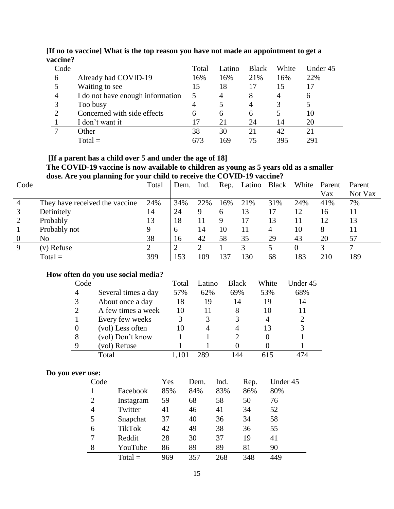| Code |                                  | Total        | Latino | <b>Black</b> | White | Under 45 |
|------|----------------------------------|--------------|--------|--------------|-------|----------|
| 6    | Already had COVID-19             | 16%          | 16%    | 21%          | 16%   | 22%      |
|      | Waiting to see                   | 15           | 18     | 17           | 15    |          |
| 4    | I do not have enough information |              | 4      | 8            | 4     | O        |
|      | Too busy                         |              |        |              |       |          |
|      | Concerned with side effects      | <sub>0</sub> | 6      | 6            |       | 10       |
|      | I don't want it                  | 17           | 21     | 24           | 14    | 20       |
|      | Other                            | 38           | 30     | 21           | 42    | 21       |
|      | $Total =$                        | 673          | 169    | 75           | 395   | 29.      |

**[If no to vaccine] What is the top reason you have not made an appointment to get a vaccine?**

#### **[If a parent has a child over 5 and under the age of 18] The COVID-19 vaccine is now available to children as young as 5 years old as a smaller dose. Are you planning for your child to receive the COVID-19 vaccine?**

| Code           | $\overline{\phantom{a}}$<br>0<br>$\overline{a}$ | Total | Dem. | Ind. | Rep. | Latino Black White Parent |     |     | Vax | Parent<br>Not Vax |
|----------------|-------------------------------------------------|-------|------|------|------|---------------------------|-----|-----|-----|-------------------|
| $\overline{4}$ | They have received the vaccine                  | 24%   | 34%  | 22%  | 16%  | 21%                       | 31% | 24% | 41% | 7%                |
|                | Definitely                                      | 14    | 24   | 9    | 6    | 13                        | 17  | 12  | 16  |                   |
|                | Probably                                        | 13    | 18   | 11   | 9    |                           | 13  | 11  | 12  | 13                |
|                | Probably not                                    |       | 6    | 14   | 10   |                           | 4   | 10  | 8   |                   |
| $\Omega$       | No                                              | 38    | 16   | 42   | 58   | 35                        | 29  | 43  | 20  | 57                |
| 9              | (v) Refuse                                      |       |      |      |      |                           |     |     |     |                   |
|                | $Total =$                                       | 399   | 153  | 109  | 137  | 130                       | 68  | 183 | 210 | 189               |

### **How often do you use social media?**

| Code |                     | Total | Latino | <b>Black</b> | White | Under 45 |
|------|---------------------|-------|--------|--------------|-------|----------|
| 4    | Several times a day | 57%   | 62%    | 69%          | 53%   | 68%      |
| 3    | About once a day    | 18    | 19     | 14           | 19    | 14       |
| 2    | A few times a week  | 10    |        | 8            | 10    |          |
|      | Every few weeks     | 3     |        |              |       |          |
|      | (vol) Less often    | 10    |        |              | 13    |          |
| 8    | (vol) Don't know    |       |        |              |       |          |
| 9    | (vol) Refuse        |       |        |              |       |          |
|      | Total               |       | 7 Q Q  | 44           |       |          |

# **Do you ever use:**

| Code           |               | Yes | Dem. | Ind. | Rep. | Under 45 |
|----------------|---------------|-----|------|------|------|----------|
|                | Facebook      | 85% | 84%  | 83%  | 86%  | 80%      |
| $\overline{2}$ | Instagram     | 59  | 68   | 58   | 50   | 76       |
| 4              | Twitter       | 41  | 46   | 41   | 34   | 52       |
| 5              | Snapchat      | 37  | 40   | 36   | 34   | 58       |
| 6              | <b>TikTok</b> | 42  | 49   | 38   | 36   | 55       |
| 7              | Reddit        | 28  | 30   | 37   | 19   | 41       |
| 8              | YouTube       | 86  | 89   | 89   | 81   | 90       |
|                | $Total =$     | 969 | 357  | 268  | 348  | 449      |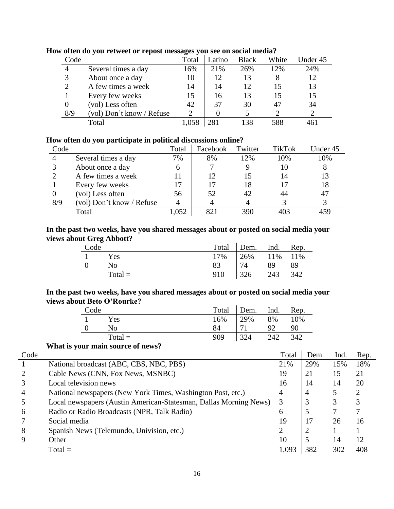|                           | Total                       | Latino | <b>Black</b> | White | Under 45 |
|---------------------------|-----------------------------|--------|--------------|-------|----------|
| Several times a day       | 16%                         | 21%    | 26%          | 12%   | 24%      |
| About once a day          | 10                          | 12     | 13           | 8     | 12       |
| A few times a week        | 14                          | 14     | 12           | 15    | 13       |
| Every few weeks           | 15                          | 16     | 13           | 15    | 15       |
| (vol) Less often          | 42                          | 37     | 30           | 47    | 34       |
| (vol) Don't know / Refuse | $\mathcal{D}_{\mathcal{A}}$ |        |              |       |          |
| Total                     |                             | 281    | 138          | 588   |          |
|                           |                             |        |              |       |          |

#### **How often do you retweet or repost messages you see on social media?**

# **How often do you participate in political discussions online?**

| Code |                           | Total | Facebook | Twitter | <b>TikTok</b> | Under 45 |
|------|---------------------------|-------|----------|---------|---------------|----------|
|      | Several times a day       | 7%    | 8%       | 12%     | 10%           | 10%      |
|      | About once a day          | 6     |          |         |               |          |
|      | A few times a week        | 11    | 12       | 15      | 14            | 13       |
|      | Every few weeks           | 17    |          | 18      |               | 18       |
|      | (vol) Less often          | 56    | 52       | 42      | 44            | 47       |
| 8/9  | (vol) Don't know / Refuse | 4     |          |         |               |          |
|      | Total                     | .052  | 82.      | 390     |               |          |

### **In the past two weeks, have you shared messages about or posted on social media your views about Greg Abbott?**

| Code |           |    | Total Dem. Ind. Rep. |    |     |
|------|-----------|----|----------------------|----|-----|
|      | Yes       |    | 17%   26% 11% 11%    |    |     |
|      | No.       | 83 | 74                   | 89 | -89 |
|      | $Total =$ |    | 910 326 243 342      |    |     |

### **In the past two weeks, have you shared messages about or posted on social media your views about Beto O'Rourke?**

| Code |           |     | Total Dem. Ind. Rep. |     |     |
|------|-----------|-----|----------------------|-----|-----|
|      | Yes       |     | 16%   29%            | 8%  | 10% |
|      | Nο        | 84  | 71                   | 92  | 90  |
|      | $Total =$ | 909 | 324                  | 242 | 342 |

### **What is your main source of news?**

| Code |                                                                   | Total | Dem.           | Ind. | Rep. |
|------|-------------------------------------------------------------------|-------|----------------|------|------|
|      | National broadcast (ABC, CBS, NBC, PBS)                           | 21%   | 29%            | 15%  | 18%  |
|      | Cable News (CNN, Fox News, MSNBC)                                 | 19    | 21             | 15   | 21   |
|      | Local television news                                             | 16    | 14             | 14   | 20   |
| 4    | National newspapers (New York Times, Washington Post, etc.)       | 4     | $\overline{4}$ |      | ∍    |
|      | Local newspapers (Austin American-Statesman, Dallas Morning News) | 3     | 3              | 3    |      |
| 6    | Radio or Radio Broadcasts (NPR, Talk Radio)                       | 6     | 5              |      |      |
|      | Social media                                                      | 19    |                | 26   | 16   |
| 8    | Spanish News (Telemundo, Univision, etc.)                         |       | $\overline{2}$ |      |      |
|      | Other                                                             | 10    | 5              | 14   | 12   |
|      | $Total =$                                                         | 1,093 | 382            | 302  | 408  |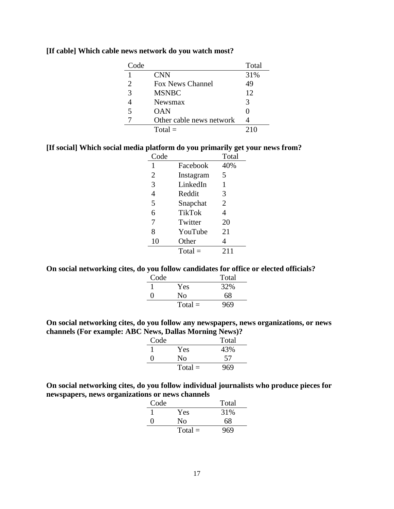| Code |                          | Total |
|------|--------------------------|-------|
|      | <b>CNN</b>               | 31%   |
| 2    | <b>Fox News Channel</b>  | 49    |
| 3    | <b>MSNBC</b>             | 12    |
|      | Newsmax                  | 3     |
| 5    | <b>OAN</b>               |       |
|      | Other cable news network |       |
|      | $Total =$                |       |

### **[If cable] Which cable news network do you watch most?**

### **[If social] Which social media platform do you primarily get your news from?**

| Code         |           | Total |
|--------------|-----------|-------|
| $\mathbf{1}$ | Facebook  | 40%   |
| 2            | Instagram | 5     |
| 3            | LinkedIn  | 1     |
| 4            | Reddit    | 3     |
| 5            | Snapchat  | 2     |
| 6            | TikTok    | 4     |
| 7            | Twitter   | 20    |
| 8            | YouTube   | 21    |
| 10           | Other     | 4     |
|              | $Total =$ | 211   |

### **On social networking cites, do you follow candidates for office or elected officials?**

| Code |           | Total |
|------|-----------|-------|
|      | Yes       | 32%   |
| Ω    | No        | 68    |
|      | $Total =$ | 969   |

### **On social networking cites, do you follow any newspapers, news organizations, or news channels (For example: ABC News, Dallas Morning News)?**

| Code |           | Total |
|------|-----------|-------|
|      | Yes       | 43%   |
|      | Nο        | 57    |
|      | $Total =$ | 969   |

**On social networking cites, do you follow individual journalists who produce pieces for newspapers, news organizations or news channels**

| Code |           | Total |
|------|-----------|-------|
|      | Yes       | 31%   |
| 0    | Nο        | 68    |
|      | $Total =$ | 969   |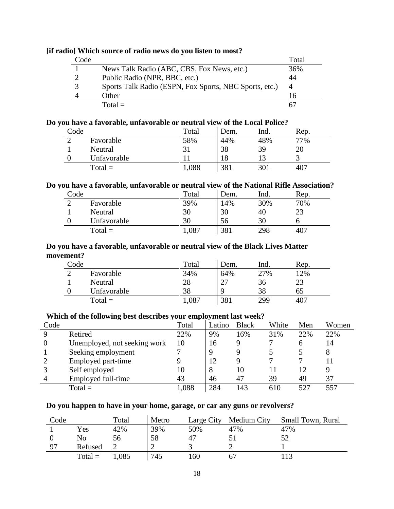|      | of them boun ce of rugge news work our mother to might |       |
|------|--------------------------------------------------------|-------|
| Code |                                                        | Total |
|      | News Talk Radio (ABC, CBS, Fox News, etc.)             | 36%   |
|      | Public Radio (NPR, BBC, etc.)                          | 44    |
|      | Sports Talk Radio (ESPN, Fox Sports, NBC Sports, etc.) | 4     |
|      | Other                                                  | 16    |
|      | $Total =$                                              |       |

# **[if radio] Which source of radio news do you listen to most?**

### **Do you have a favorable, unfavorable or neutral view of the Local Police?**

| Code |             | Total | Dem. | Ind. | Rep. |
|------|-------------|-------|------|------|------|
|      | Favorable   | 58%   | 44%  | 48%  | 77%  |
|      | Neutral     |       | 38   | 39   | 20   |
|      | Unfavorable |       | 18   |      |      |
|      | $Total =$   | 1,088 | 381  | 301  | 407  |

#### **Do you have a favorable, unfavorable or neutral view of the National Rifle Association?**

| Code |             | Total | Dem. | Ind. | Rep. |
|------|-------------|-------|------|------|------|
|      | Favorable   | 39%   | 14%  | 30%  | 70%  |
|      | Neutral     | 30    | 30   | 40   | 23   |
|      | Unfavorable | 30    | 56   | 30   |      |
|      | $Total =$   | 1,087 | 381  | 298  | 407  |

### **Do you have a favorable, unfavorable or neutral view of the Black Lives Matter movement?**

| Code |             | Total | Dem. | Ind. | Rep. |
|------|-------------|-------|------|------|------|
|      | Favorable   | 34%   | 64%  | 27%  | 12%  |
|      | Neutral     | 28    | つつ   | 36   | 23   |
|      | Unfavorable | 38    | Q    | 38   | ნა   |
|      | $Total =$   | 1,087 | 381  | 299  | 407  |

### **Which of the following best describes your employment last week?**

| Code |                              | Total | Latino | <b>Black</b> | White | Men | Women |
|------|------------------------------|-------|--------|--------------|-------|-----|-------|
| Q    | Retired                      | 22%   | 9%     | 16%          | 31%   | 22% | 22%   |
| 0    | Unemployed, not seeking work | 10    | 16     |              |       | 6   | 14    |
|      | Seeking employment           |       | 9      |              |       |     | 8     |
|      | Employed part-time           |       | 12     |              |       |     |       |
|      | Self employed                | 10    | 8      | 10           |       | 12  |       |
|      | Employed full-time           | 43    | 46     | 47           | 39    | 49  | 37    |
|      | $Total =$                    | 1,088 | 284    | 143          | 610   | 527 |       |

### **Do you happen to have in your home, garage, or car any guns or revolvers?**

| Code |           | Total | Metro | Large City | Medium City | Small Town, Rural |
|------|-----------|-------|-------|------------|-------------|-------------------|
|      | Yes       | 42%   | 39%   | 50%        | 47%         | 47%               |
|      | No        | 56    | 58    | 47         |             |                   |
| Q7   | Refused   |       | ∸     |            |             |                   |
|      | $Total =$ | 1,085 | 745   | 160        |             |                   |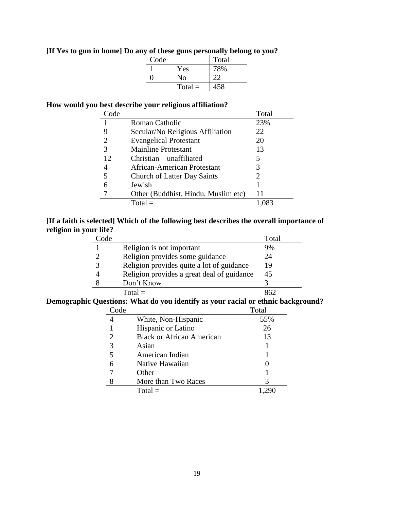# **[If Yes to gun in home] Do any of these guns personally belong to you?**

| Code |           | Total |
|------|-----------|-------|
|      | Yes       | 78%   |
|      | No        | 22    |
|      | $Total =$ | 458   |

# **How would you best describe your religious affiliation?**

| Code |                                     | Total                       |
|------|-------------------------------------|-----------------------------|
|      | <b>Roman Catholic</b>               | 23%                         |
| 9    | Secular/No Religious Affiliation    | 22                          |
| 2    | <b>Evangelical Protestant</b>       | 20                          |
| 3    | <b>Mainline Protestant</b>          | 13                          |
| 12   | $Christian - unaffiliated$          | 5.                          |
| 4    | African-American Protestant         | 3                           |
| 5    | <b>Church of Latter Day Saints</b>  | $\mathcal{D}_{\mathcal{L}}$ |
| 6    | Jewish                              |                             |
|      | Other (Buddhist, Hindu, Muslim etc) | 11                          |
|      | $Total =$                           |                             |

# **[If a faith is selected] Which of the following best describes the overall importance of religion in your life?**

| Code |                                            | Total |
|------|--------------------------------------------|-------|
|      | Religion is not important                  | 9%    |
|      | Religion provides some guidance            | 24    |
|      | Religion provides quite a lot of guidance  | 19    |
|      | Religion provides a great deal of guidance | 45    |
|      | Don't Know                                 |       |
|      | $Total =$                                  |       |

### **Demographic Questions: What do you identify as your racial or ethnic background?**

| Code |                                  | Total |
|------|----------------------------------|-------|
|      | White, Non-Hispanic              | 55%   |
|      | Hispanic or Latino               | 26    |
| 2    | <b>Black or African American</b> | 13    |
| 3    | Asian                            |       |
|      | American Indian                  |       |
|      | Native Hawaiian                  |       |
|      | Other                            |       |
|      | More than Two Races              | 3     |
|      | $Total =$                        |       |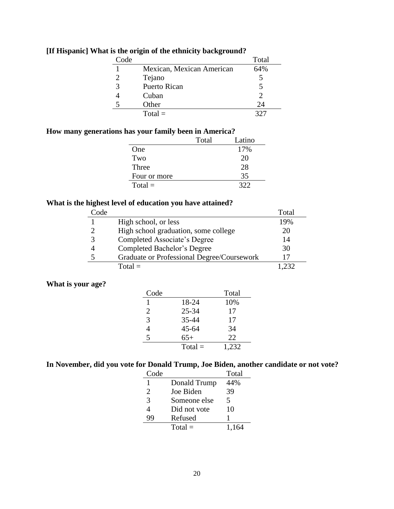| Code |                           | Total |
|------|---------------------------|-------|
|      | Mexican, Mexican American | 64%   |
|      | Tejano                    |       |
|      | <b>Puerto Rican</b>       |       |
|      | Cuban                     |       |
|      | Other                     | 24    |
|      | $Total =$                 |       |

# **[If Hispanic] What is the origin of the ethnicity background?**

# **How many generations has your family been in America?**

|              | Total | Latino |
|--------------|-------|--------|
| One          |       | 17%    |
| Two          |       | 20     |
| Three        |       | 28     |
| Four or more |       | 35     |
| $Total =$    |       | 322    |

# **What is the highest level of education you have attained?**

| Code          |                                            | Total |
|---------------|--------------------------------------------|-------|
|               | High school, or less                       | 19%   |
| $\mathcal{D}$ | High school graduation, some college       | 20    |
| 3             | Completed Associate's Degree               | 14    |
|               | Completed Bachelor's Degree                | 30    |
| 5             | Graduate or Professional Degree/Coursework |       |
|               | $Total =$                                  | ' 232 |

# **What is your age?**

| Code           |           | Total |
|----------------|-----------|-------|
|                | 18-24     | 10%   |
| 2              | $25 - 34$ | 17    |
| 3              | 35-44     | 17    |
| $\overline{4}$ | $45 - 64$ | 34    |
| 5              | $65+$     | 22    |
|                | $Total =$ | 1,232 |

# **In November, did you vote for Donald Trump, Joe Biden, another candidate or not vote?**

| Code |              | Total |
|------|--------------|-------|
| 1    | Donald Trump | 44%   |
| 2    | Joe Biden    | 39    |
| 3    | Someone else | 5     |
| 4    | Did not vote | 10    |
| yg   | Refused      |       |
|      | $Total =$    | 1.164 |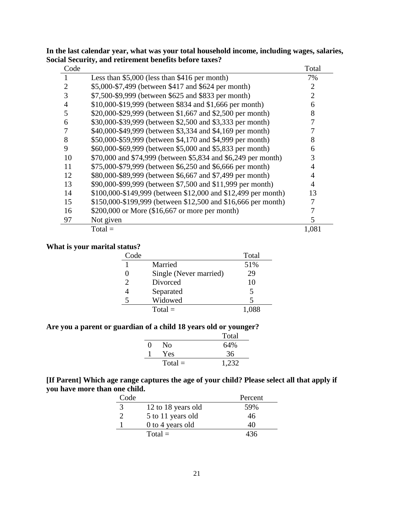| Code           |                                                               | Total |
|----------------|---------------------------------------------------------------|-------|
|                | Less than $$5,000$ (less than $$416$ per month)               | 7%    |
| 2              | \$5,000-\$7,499 (between \$417 and \$624 per month)           | 2     |
| 3              | \$7,500-\$9,999 (between \$625 and \$833 per month)           | 2     |
| $\overline{4}$ | \$10,000-\$19,999 (between \$834 and \$1,666 per month)       | 6     |
| 5              | \$20,000-\$29,999 (between \$1,667 and \$2,500 per month)     | 8     |
| 6              | \$30,000-\$39,999 (between \$2,500 and \$3,333 per month)     |       |
|                | \$40,000-\$49,999 (between \$3,334 and \$4,169 per month)     |       |
| 8              | \$50,000-\$59,999 (between \$4,170 and \$4,999 per month)     | 8     |
| 9              | \$60,000-\$69,999 (between \$5,000 and \$5,833 per month)     | 6     |
| 10             | \$70,000 and \$74,999 (between \$5,834 and \$6,249 per month) | 3     |
| 11             | \$75,000-\$79,999 (between \$6,250 and \$6,666 per month)     | 4     |
| 12             | \$80,000-\$89,999 (between \$6,667 and \$7,499 per month)     | 4     |
| 13             | \$90,000-\$99,999 (between \$7,500 and \$11,999 per month)    | 4     |
| 14             | \$100,000-\$149,999 (between \$12,000 and \$12,499 per month) | 13    |
| 15             | \$150,000-\$199,999 (between \$12,500 and \$16,666 per month) |       |
| 16             | $$200,000$ or More (\$16,667 or more per month)               |       |
| 97             | Not given                                                     | 5     |
|                | $Total =$                                                     | 1,081 |

**In the last calendar year, what was your total household income, including wages, salaries, Social Security, and retirement benefits before taxes?**

# **What is your marital status?**

| Code                  |                        | Total                   |
|-----------------------|------------------------|-------------------------|
|                       | Married                | 51%                     |
|                       | Single (Never married) | 29                      |
| $\mathcal{D}_{\cdot}$ | Divorced               | 10                      |
|                       | Separated              |                         |
| 5                     | Widowed                | $\overline{\mathbf{5}}$ |
|                       | $Total =$              | 1.088                   |

# **Are you a parent or guardian of a child 18 years old or younger?**

|              |           | Total |
|--------------|-----------|-------|
| $\mathbf{0}$ | No        | 64%   |
|              | Yes       | 36    |
|              | $Total =$ | 1,232 |

## **[If Parent] Which age range captures the age of your child? Please select all that apply if you have more than one child.**

| Code |                    | Percent |
|------|--------------------|---------|
| 3    | 12 to 18 years old | 59%     |
|      | 5 to 11 years old  | 46      |
|      | 0 to 4 years old   | 40      |
|      | $Total =$          | 436     |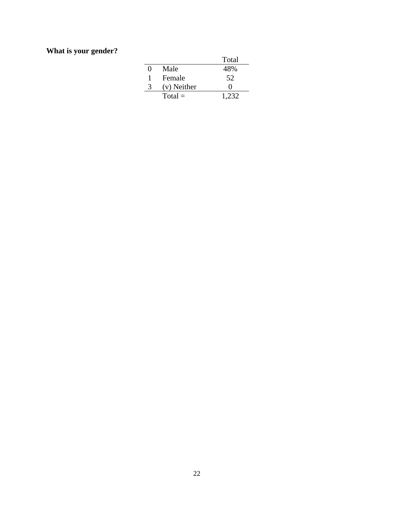# **What is your gender?**

|                   |             | Total |
|-------------------|-------------|-------|
| $\mathbf{\Omega}$ | Male        | 48%   |
| 1                 | Female      | 52    |
| 3                 | (v) Neither | 0     |
|                   | $Total =$   | 1.232 |